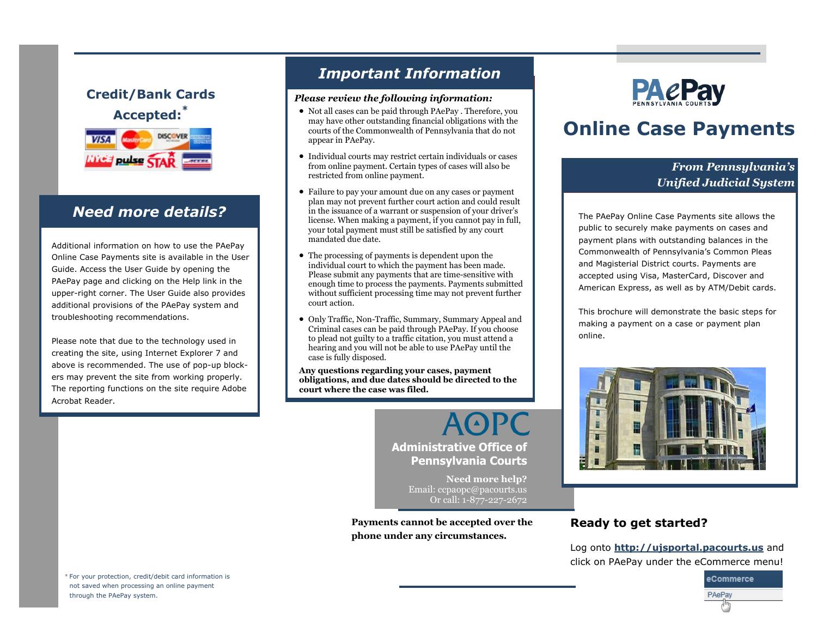# **Credit/Bank Cards Accepted:\***



Additional information on how to use the PAePay Online Case Payments site is available in the User Guide. Access the User Guide by opening the PAePay page and clicking on the Help link in the upper-right corner. The User Guide also provides additional provisions of the PAePay system and troubleshooting recommendations.

Please note that due to the technology used in creating the site, using Internet Explorer 7 and above is recommended. The use of pop-up blockers may prevent the site from working properly. The reporting functions on the site require Adobe Acrobat Reader.

# *Important Information*

#### *Please review the following information:*

- Not all cases can be paid through PAePay . Therefore, you may have other outstanding financial obligations with the courts of the Commonwealth of Pennsylvania that do not appear in PAePay.
- Individual courts may restrict certain individuals or cases from online payment. Certain types of cases will also be restricted from online payment.
- **Need more details?**  $\qquad \qquad \qquad$  in the issuance of a warrant or suspension of your driver's The PAePay Online Case Payments site allows the Failure to pay your amount due on any cases or payment plan may not prevent further court action and could result license. When making a payment, if you cannot pay in full, your total payment must still be satisfied by any court mandated due date.
	- The processing of payments is dependent upon the individual court to which the payment has been made. Please submit any payments that are time-sensitive with enough time to process the payments. Payments submitted without sufficient processing time may not prevent further court action.
	- Only Traffic, Non-Traffic, Summary, Summary Appeal and Criminal cases can be paid through PAePay. If you choose to plead not guilty to a traffic citation, you must attend a hearing and you will not be able to use PAePay until the case is fully disposed.

**Any questions regarding your cases, payment obligations, and due dates should be directed to the court where the case was filed.**

> **AOPC Administrative Office of Pennsylvania Courts**

> > **Need more help?** Email: ccpaopc@pacourts.us Or call: 1-877-227-2672

**Payments cannot be accepted over the phone under any circumstances.**



# **Online Case Payments**

### *From Pennsylvania's Unified Judicial System*

public to securely make payments on cases and payment plans with outstanding balances in the Commonwealth of Pennsylvania's Common Pleas and Magisterial District courts. Payments are accepted using Visa, MasterCard, Discover and American Express, as well as by ATM/Debit cards.

This brochure will demonstrate the basic steps for making a payment on a case or payment plan online.



### **Ready to get started?**

Log onto **http://ujsportal.pacourts.us** and click on PAePay under the eCommerce menu!



\* For your protection, credit/debit card information is not saved when processing an online payment through the PAePay system.